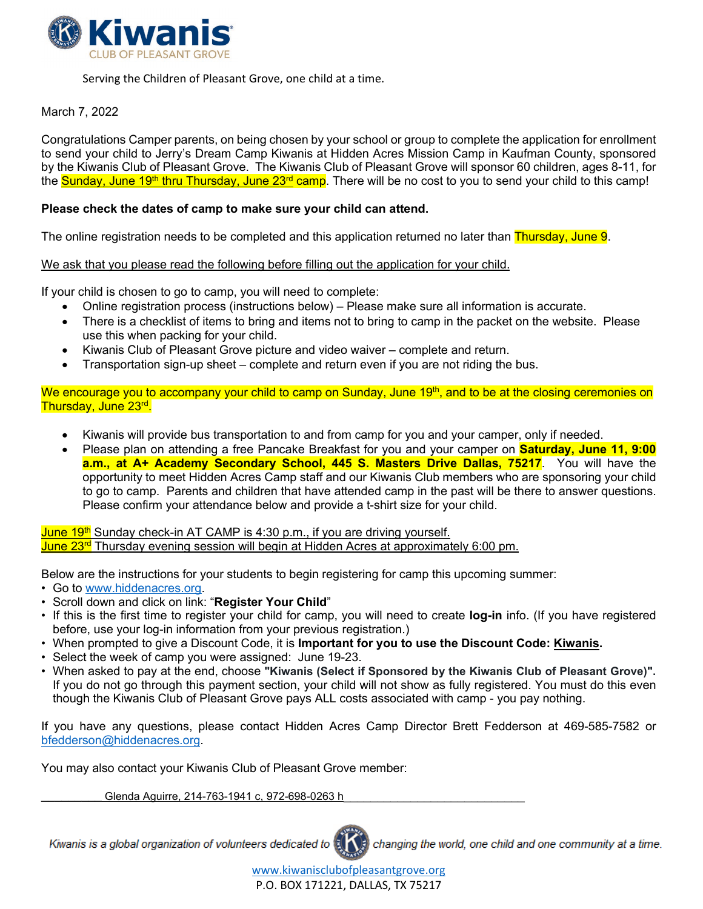

Serving the Children of Pleasant Grove, one child at a time.

#### March 7, 2022

Congratulations Camper parents, on being chosen by your school or group to complete the application for enrollment to send your child to Jerry's Dream Camp Kiwanis at Hidden Acres Mission Camp in Kaufman County, sponsored by the Kiwanis Club of Pleasant Grove. The Kiwanis Club of Pleasant Grove will sponsor 60 children, ages 8-11, for the Sunday, June 19<sup>th</sup> thru Thursday, June 23<sup>rd</sup> camp. There will be no cost to you to send your child to this camp!

#### **Please check the dates of camp to make sure your child can attend.**

The online registration needs to be completed and this application returned no later than Thursday, June 9.

We ask that you please read the following before filling out the application for your child.

If your child is chosen to go to camp, you will need to complete:

- Online registration process (instructions below) Please make sure all information is accurate.
- There is a checklist of items to bring and items not to bring to camp in the packet on the website. Please use this when packing for your child.
- Kiwanis Club of Pleasant Grove picture and video waiver complete and return.
- Transportation sign-up sheet complete and return even if you are not riding the bus.

We encourage you to accompany your child to camp on Sunday, June 19<sup>th</sup>, and to be at the closing ceremonies on Thursday, June 23rd.

- Kiwanis will provide bus transportation to and from camp for you and your camper, only if needed.
- Please plan on attending a free Pancake Breakfast for you and your camper on **Saturday, June 11, 9:00 a.m., at A+ Academy Secondary School, 445 S. Masters Drive Dallas, 75217**. You will have the opportunity to meet Hidden Acres Camp staff and our Kiwanis Club members who are sponsoring your child to go to camp. Parents and children that have attended camp in the past will be there to answer questions. Please confirm your attendance below and provide a t-shirt size for your child.

<mark>June 19<sup>th</sup> Sunday check-in AT CAMP is 4:30 p.m., if you are driving yourself.</mark> June 23<sup>rd</sup> Thursday evening session will begin at Hidden Acres at approximately 6:00 pm.

Below are the instructions for your students to begin registering for camp this upcoming summer:

- Go to [www.hiddenacres.org.](http://www.hiddenacres.org/)
- Scroll down and click on link: "**Register Your Child**"
- If this is the first time to register your child for camp, you will need to create **log-in** info. (If you have registered before, use your log-in information from your previous registration.)
- When prompted to give a Discount Code, it is **Important for you to use the Discount Code: Kiwanis.**
- Select the week of camp you were assigned: June 19-23.
- When asked to pay at the end, choose **"Kiwanis (Select if Sponsored by the Kiwanis Club of Pleasant Grove)".** If you do not go through this payment section, your child will not show as fully registered. You must do this even though the Kiwanis Club of Pleasant Grove pays ALL costs associated with camp - you pay nothing.

If you have any questions, please contact Hidden Acres Camp Director Brett Fedderson at 469-585-7582 or [bfedderson@hiddenacres.org.](mailto:bfedderson@hiddenacres.org)

You may also contact your Kiwanis Club of Pleasant Grove member:

Glenda Aguirre, 214-763-1941 c, 972-698-0263 h

Kiwanis is a global organization of volunteers dedicated to changing the world, one child and one community at a time.

> [www.kiwanisclubofpleasantgrove.org](http://www.kiwanisclubofpleasantgrove.org/) P.O. BOX 171221, DALLAS, TX 75217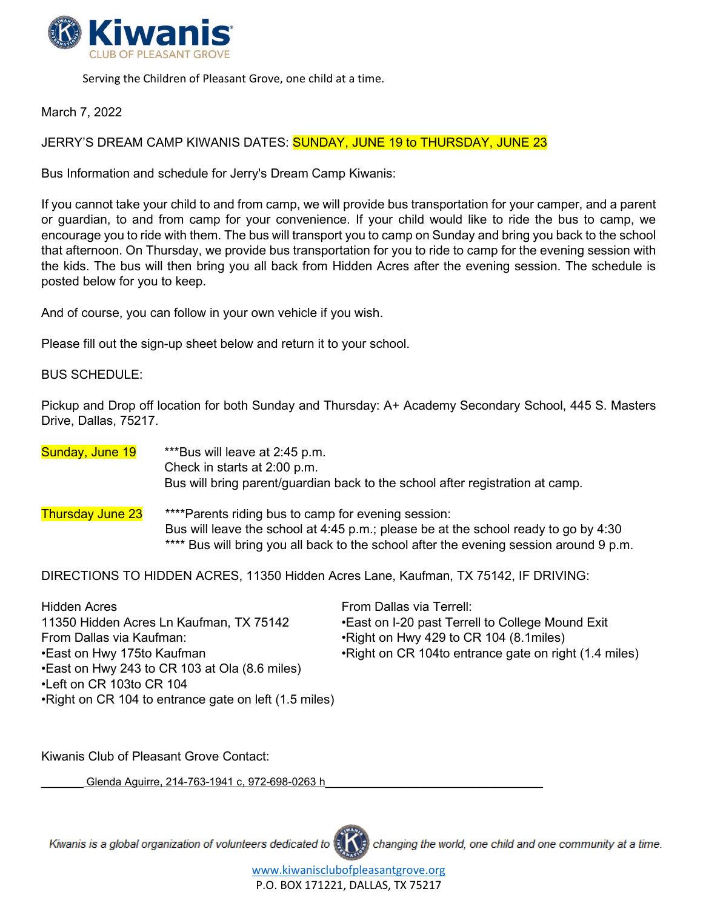

Serving the Children of Pleasant Grove, one child at a time.

## March 7, 2022

JERRY'S DREAM CAMP KIWANIS DATES: **SUNDAY, JUNE 19 to THURSDAY, JUNE 23** 

Bus Information and schedule for Jerry's Dream Camp Kiwanis:

If you cannot take your child to and from camp, we will provide bus transportation for your camper, and a parent or guardian, to and from camp for your convenience. If your child would like to ride the bus to camp, we encourage you to ride with them. The bus will transport you to camp on Sunday and bring you back to the school that afternoon. On Thursday, we provide bus transportation for you to ride to camp for the evening session with the kids. The bus will then bring you all back from Hidden Acres after the evening session. The schedule is posted below for you to keep.

And of course, you can follow in your own vehicle if you wish.

Please fill out the sign-up sheet below and return it to your school.

#### BUS SCHEDULE:

Pickup and Drop off location for both Sunday and Thursday: A+ Academy Secondary School, 445 S. Masters Drive, Dallas, 75217.

# Sunday, June 19 \*\*\*Bus will leave at 2:45 p.m. Check in starts at 2:00 p.m. Bus will bring parent/guardian back to the school after registration at camp. Thursday June 23 <sup>\*\*\*\*</sup>Parents riding bus to camp for evening session: Bus will leave the school at 4:45 p.m.; please be at the school ready to go by 4:30 \*\*\*\* Bus will bring you all back to the school after the evening session around 9 p.m.

DIRECTIONS TO HIDDEN ACRES, 11350 Hidden Acres Lane, Kaufman, TX 75142, IF DRIVING:

| <b>Hidden Acres</b>                                    | From Dallas via Terrell:                               |
|--------------------------------------------------------|--------------------------------------------------------|
| 11350 Hidden Acres Ln Kaufman, TX 75142                | • East on I-20 past Terrell to College Mound Exit      |
| From Dallas via Kaufman:                               | •Right on Hwy 429 to CR 104 (8.1 miles)                |
| •East on Hwy 175to Kaufman                             | • Right on CR 104to entrance gate on right (1.4 miles) |
| • East on Hwy 243 to CR 103 at Ola (8.6 miles)         |                                                        |
| •Left on CR 103to CR 104                               |                                                        |
| • Right on CR 104 to entrance gate on left (1.5 miles) |                                                        |

Kiwanis Club of Pleasant Grove Contact:

Glenda Aguirre, 214-763-1941 c, 972-698-0263 h

Kiwanis is a global organization of volunteers dedicated to



changing the world, one child and one community at a time.

[www.kiwanisclubofpleasantgrove.org](http://www.kiwanisclubofpleasantgrove.org/) P.O. BOX 171221, DALLAS, TX 75217